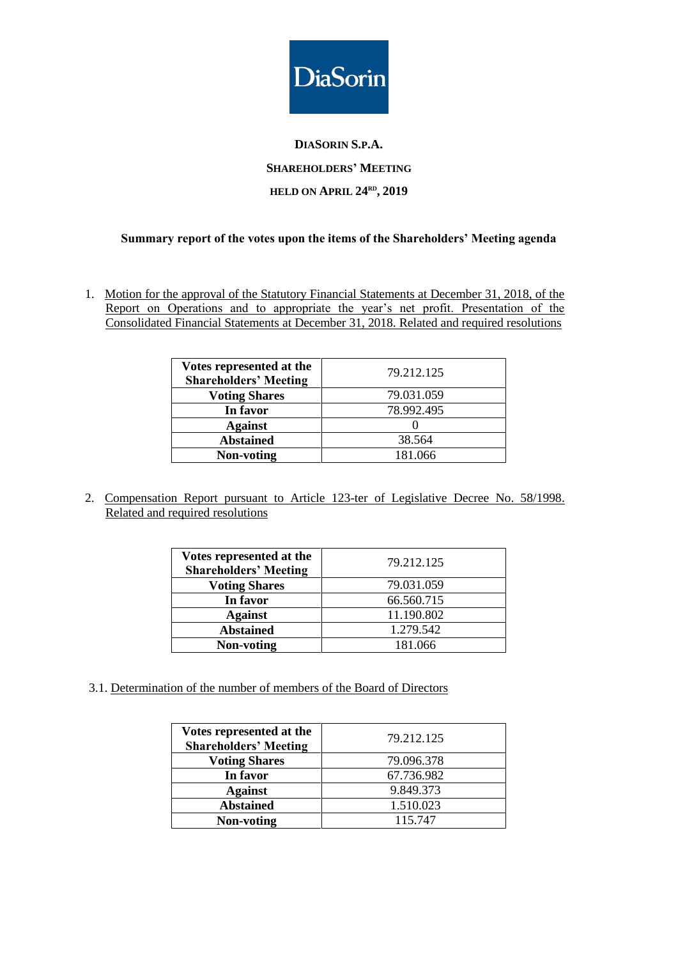

# **DIASORIN S.P.A. SHAREHOLDERS' MEETING HELD ON APRIL 24 RD , 2019**

#### **Summary report of the votes upon the items of the Shareholders' Meeting agenda**

1. Motion for the approval of the Statutory Financial Statements at December 31, 2018, of the Report on Operations and to appropriate the year's net profit. Presentation of the Consolidated Financial Statements at December 31, 2018. Related and required resolutions

| Votes represented at the<br><b>Shareholders' Meeting</b> | 79.212.125 |
|----------------------------------------------------------|------------|
| <b>Voting Shares</b>                                     | 79.031.059 |
| In favor                                                 | 78.992.495 |
| <b>Against</b>                                           |            |
| <b>Abstained</b>                                         | 38.564     |
| Non-voting                                               | 181.066    |

2. Compensation Report pursuant to Article 123-ter of Legislative Decree No. 58/1998. Related and required resolutions

| Votes represented at the<br><b>Shareholders' Meeting</b> | 79.212.125 |
|----------------------------------------------------------|------------|
| <b>Voting Shares</b>                                     | 79.031.059 |
| In favor                                                 | 66.560.715 |
| <b>Against</b>                                           | 11.190.802 |
| <b>Abstained</b>                                         | 1.279.542  |
| Non-voting                                               | 181.066    |

3.1. Determination of the number of members of the Board of Directors

| Votes represented at the<br><b>Shareholders' Meeting</b> | 79.212.125 |
|----------------------------------------------------------|------------|
| <b>Voting Shares</b>                                     | 79.096.378 |
| In favor                                                 | 67.736.982 |
| <b>Against</b>                                           | 9.849.373  |
| <b>Abstained</b>                                         | 1.510.023  |
| <b>Non-voting</b>                                        | 115.747    |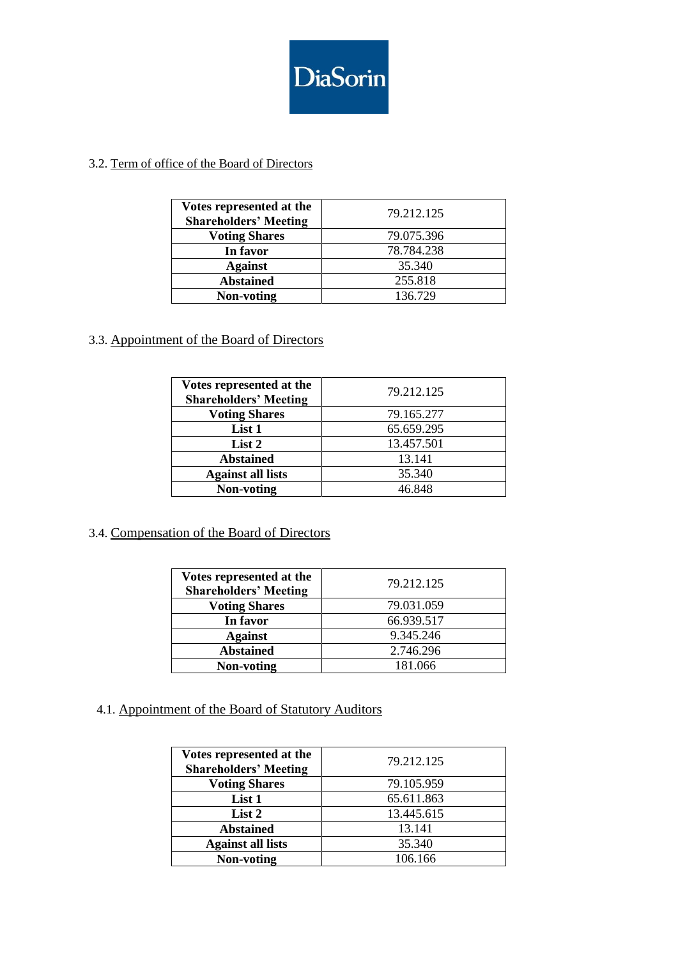

### 3.2. Term of office of the Board of Directors

| Votes represented at the<br><b>Shareholders' Meeting</b> | 79.212.125 |
|----------------------------------------------------------|------------|
| <b>Voting Shares</b>                                     | 79.075.396 |
| In favor                                                 | 78.784.238 |
| <b>Against</b>                                           | 35.340     |
| <b>Abstained</b>                                         | 255.818    |
| Non-voting                                               | 136.729    |

### 3.3. Appointment of the Board of Directors

| Votes represented at the<br><b>Shareholders' Meeting</b> | 79.212.125 |
|----------------------------------------------------------|------------|
| <b>Voting Shares</b>                                     | 79.165.277 |
| List 1                                                   | 65.659.295 |
| List 2                                                   | 13.457.501 |
| <b>Abstained</b>                                         | 13.141     |
| <b>Against all lists</b>                                 | 35.340     |
| Non-voting                                               | 46.848     |

#### 3.4. Compensation of the Board of Directors

| Votes represented at the<br><b>Shareholders' Meeting</b> | 79.212.125 |
|----------------------------------------------------------|------------|
| <b>Voting Shares</b>                                     | 79.031.059 |
| In favor                                                 | 66.939.517 |
| <b>Against</b>                                           | 9.345.246  |
| <b>Abstained</b>                                         | 2.746.296  |
| Non-voting                                               | 181.066    |

## 4.1. Appointment of the Board of Statutory Auditors

| Votes represented at the<br><b>Shareholders' Meeting</b> | 79.212.125 |
|----------------------------------------------------------|------------|
| <b>Voting Shares</b>                                     | 79.105.959 |
| List 1                                                   | 65.611.863 |
| List 2                                                   | 13.445.615 |
| <b>Abstained</b>                                         | 13.141     |
| <b>Against all lists</b>                                 | 35.340     |
| Non-voting                                               | 106.166    |